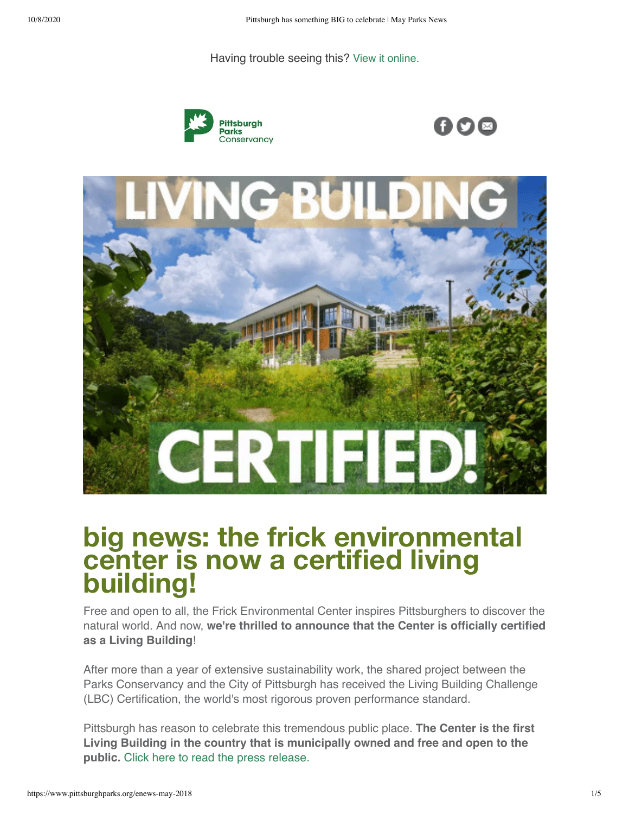Having trouble seeing this? [View it online.](https://www.pittsburghparks.org/enews-may-2018?ecid=ACsprvskhT5eM9sXzelbGfNN4IDXgAoM3sejTnDXotX6aeue0WuNBRBoscHH-v2_gIE7RRuguWaz&utm_source=hs_email&utm_medium=email&_hsenc=p2ANqtz--EDigy_XHiz1TR5VyyhRLe06ycIhNIrxCrJgmMeecQwfZ30-MWcemsbmJ2Zy4--G41svZ5LbWwtCZ-GmW8mcAo4bOZOwoha8ZV5uKmiGO-rdjQrqo)







# **big news: the frick environmental center is now a certified living building!**

Free and open to all, the Frick Environmental Center inspires Pittsburghers to discover the natural world. And now, **we're thrilled to announce that the Center is officially certified as a Living Building**!

After more than a year of extensive sustainability work, the shared project between the Parks Conservancy and the City of Pittsburgh has received the Living Building Challenge (LBC) Certification, the world's most rigorous proven performance standard.

Pittsburgh has reason to celebrate this tremendous public place. **The Center is the first Living Building in the country that is municipally owned and free and open to the public.** [Click here to read the press release.](https://www.pittsburghparks.org/news/frick-environmental-center-achieves-living-building-challenge-certification?utm_source=hs_email&utm_medium=email&_hsenc=p2ANqtz--EDigy_XHiz1TR5VyyhRLe06ycIhNIrxCrJgmMeecQwfZ30-MWcemsbmJ2Zy4--G41svZ5LbWwtCZ-GmW8mcAo4bOZOwoha8ZV5uKmiGO-rdjQrqo)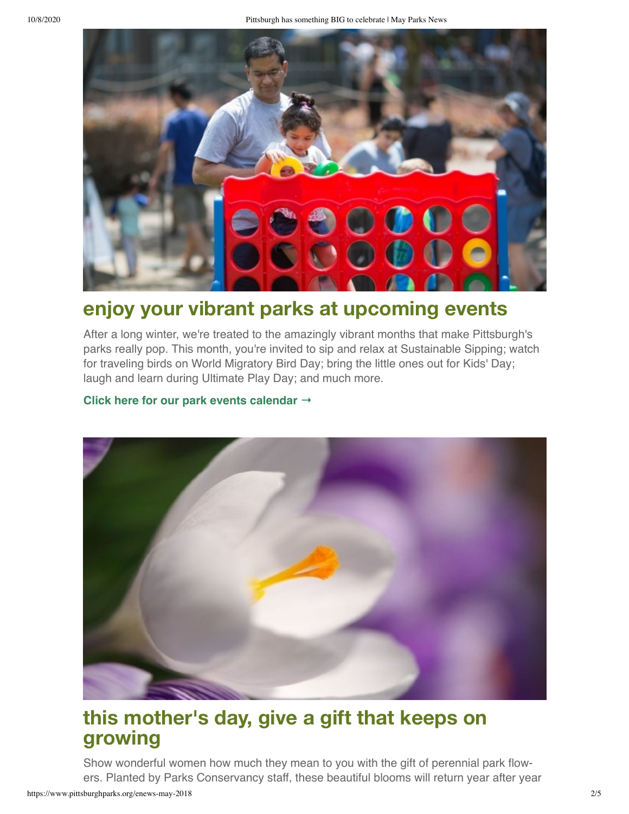

## **enjoy your vibrant parks at upcoming events**

After a long winter, we're treated to the amazingly vibrant months that make Pittsburgh's parks really pop. This month, you're invited to sip and relax at Sustainable Sipping; watch for traveling birds on World Migratory Bird Day; bring the little ones out for Kids' Day; laugh and learn during Ultimate Play Day; and much more.

#### **[Click here for our park events calendar](https://www.pittsburghparks.org/park-events?utm_source=hs_email&utm_medium=email&_hsenc=p2ANqtz--EDigy_XHiz1TR5VyyhRLe06ycIhNIrxCrJgmMeecQwfZ30-MWcemsbmJ2Zy4--G41svZ5LbWwtCZ-GmW8mcAo4bOZOwoha8ZV5uKmiGO-rdjQrqo) →**



## **this mother's day, give a gift that keeps on growing**

Show wonderful women how much they mean to you with the gift of perennial park flow‐ ers. Planted by Parks Conservancy staff, these beautiful blooms will return year after year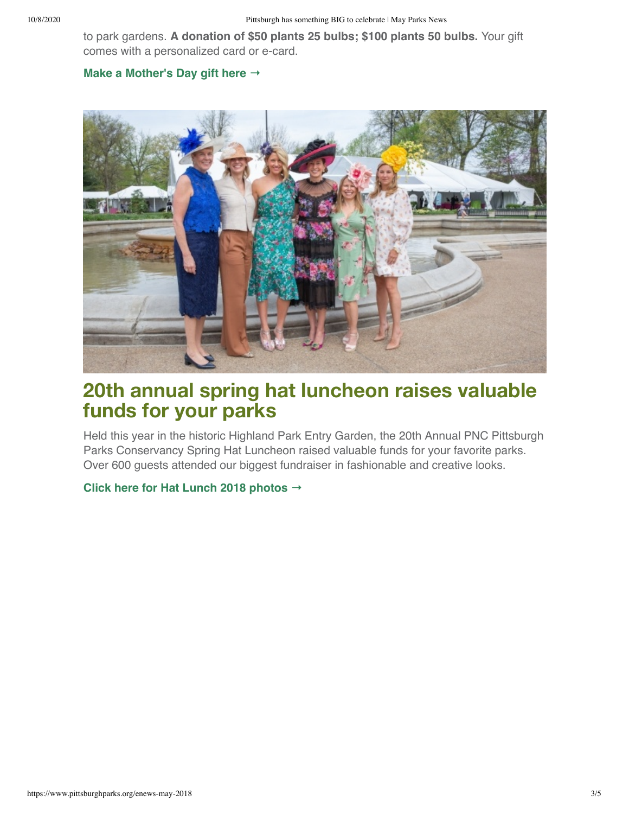to park gardens. **A donation of \$50 plants 25 bulbs; \$100 plants 50 bulbs.** Your gift comes with a personalized card or e-card.

#### **[Make a Mother's Day gift here](https://www.pittsburghparks.org/donate/mothers-day-2018?utm_source=hs_email&utm_medium=email&_hsenc=p2ANqtz--EDigy_XHiz1TR5VyyhRLe06ycIhNIrxCrJgmMeecQwfZ30-MWcemsbmJ2Zy4--G41svZ5LbWwtCZ-GmW8mcAo4bOZOwoha8ZV5uKmiGO-rdjQrqo) →**



### **20th annual spring hat luncheon raises valuable funds for your parks**

Held this year in the historic Highland Park Entry Garden, the 20th Annual PNC Pittsburgh Parks Conservancy Spring Hat Luncheon raised valuable funds for your favorite parks. Over 600 guests attended our biggest fundraiser in fashionable and creative looks.

#### **[Click here for Hat Lunch 2018 photos](https://www.flickr.com/photos/pghparks/albums/72157693422816652/with/41958242981/?utm_source=hs_email&utm_medium=email&_hsenc=p2ANqtz--EDigy_XHiz1TR5VyyhRLe06ycIhNIrxCrJgmMeecQwfZ30-MWcemsbmJ2Zy4--G41svZ5LbWwtCZ-GmW8mcAo4bOZOwoha8ZV5uKmiGO-rdjQrqo) →**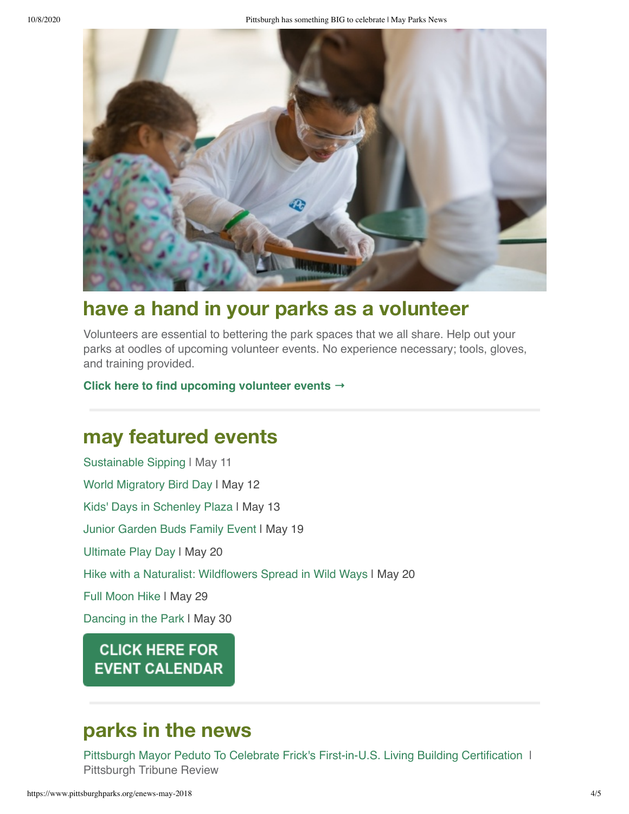

## **have a hand in your parks as a volunteer**

Volunteers are essential to bettering the park spaces that we all share. Help out your parks at oodles of upcoming volunteer events. No experience necessary; tools, gloves, and training provided.

#### **[Click here to find upcoming volunteer events](https://www.pittsburghparks.org/park-events?utm_source=hs_email&utm_medium=email&_hsenc=p2ANqtz--EDigy_XHiz1TR5VyyhRLe06ycIhNIrxCrJgmMeecQwfZ30-MWcemsbmJ2Zy4--G41svZ5LbWwtCZ-GmW8mcAo4bOZOwoha8ZV5uKmiGO-rdjQrqo) →**

### **may featured events**

[Sustainable Sipping](https://embed.showclix.com/event/sustainable-sipping3598847?utm_source=hs_email&utm_medium=email&_hsenc=p2ANqtz--EDigy_XHiz1TR5VyyhRLe06ycIhNIrxCrJgmMeecQwfZ30-MWcemsbmJ2Zy4--G41svZ5LbWwtCZ-GmW8mcAo4bOZOwoha8ZV5uKmiGO-rdjQrqo) | May 11 [World Migratory Bird Day](https://embed.showclix.com/event/world-migratory-bird-day?utm_source=hs_email&utm_medium=email&_hsenc=p2ANqtz--EDigy_XHiz1TR5VyyhRLe06ycIhNIrxCrJgmMeecQwfZ30-MWcemsbmJ2Zy4--G41svZ5LbWwtCZ-GmW8mcAo4bOZOwoha8ZV5uKmiGO-rdjQrqo) I May 12 [Kids' Days in Schenley Plaza](https://embed.showclix.com/event/kids-days-2017jRdTJZt?utm_source=hs_email&utm_medium=email&_hsenc=p2ANqtz--EDigy_XHiz1TR5VyyhRLe06ycIhNIrxCrJgmMeecQwfZ30-MWcemsbmJ2Zy4--G41svZ5LbWwtCZ-GmW8mcAo4bOZOwoha8ZV5uKmiGO-rdjQrqo) I May 13 [Junior Garden Buds Family Event](https://embed.showclix.com/event/jgb-may?utm_source=hs_email&utm_medium=email&_hsenc=p2ANqtz--EDigy_XHiz1TR5VyyhRLe06ycIhNIrxCrJgmMeecQwfZ30-MWcemsbmJ2Zy4--G41svZ5LbWwtCZ-GmW8mcAo4bOZOwoha8ZV5uKmiGO-rdjQrqo) I May 19 [Ultimate Play Day](https://embed.showclix.com/event/play-day-2018?utm_source=hs_email&utm_medium=email&_hsenc=p2ANqtz--EDigy_XHiz1TR5VyyhRLe06ycIhNIrxCrJgmMeecQwfZ30-MWcemsbmJ2Zy4--G41svZ5LbWwtCZ-GmW8mcAo4bOZOwoha8ZV5uKmiGO-rdjQrqo) | May 20 [Hike with a Naturalist: Wildflowers Spread in Wild Ways](https://embed.showclix.com/event/wildflowers-2018?utm_source=hs_email&utm_medium=email&_hsenc=p2ANqtz--EDigy_XHiz1TR5VyyhRLe06ycIhNIrxCrJgmMeecQwfZ30-MWcemsbmJ2Zy4--G41svZ5LbWwtCZ-GmW8mcAo4bOZOwoha8ZV5uKmiGO-rdjQrqo) | May 20 [Full Moon Hike](https://embed.showclix.com/event/full-moon-hike-4-20189WkbqU3?utm_source=hs_email&utm_medium=email&_hsenc=p2ANqtz--EDigy_XHiz1TR5VyyhRLe06ycIhNIrxCrJgmMeecQwfZ30-MWcemsbmJ2Zy4--G41svZ5LbWwtCZ-GmW8mcAo4bOZOwoha8ZV5uKmiGO-rdjQrqo) | May 29 [Dancing in the Park](https://embed.showclix.com/event/dancing-in-the-park-weekly-dance-in-schenley-plazar5CpjYi?utm_source=hs_email&utm_medium=email&_hsenc=p2ANqtz--EDigy_XHiz1TR5VyyhRLe06ycIhNIrxCrJgmMeecQwfZ30-MWcemsbmJ2Zy4--G41svZ5LbWwtCZ-GmW8mcAo4bOZOwoha8ZV5uKmiGO-rdjQrqo) | May 30

#### **CLICK HERE FOR EVENT CALENDAR**

### **parks in the news**

[Pittsburgh Mayor Peduto To Celebrate Frick's First-in-U.S. Living Building Certification](http://triblive.com/local/allegheny/13612369-74/pittsburgh-mayor-peduto-to-celebrate-fricks-first-in-us-living-building-certification?utm_source=hs_email&utm_medium=email&_hsenc=p2ANqtz--EDigy_XHiz1TR5VyyhRLe06ycIhNIrxCrJgmMeecQwfZ30-MWcemsbmJ2Zy4--G41svZ5LbWwtCZ-GmW8mcAo4bOZOwoha8ZV5uKmiGO-rdjQrqo) 1 Pittsburgh Tribune Review